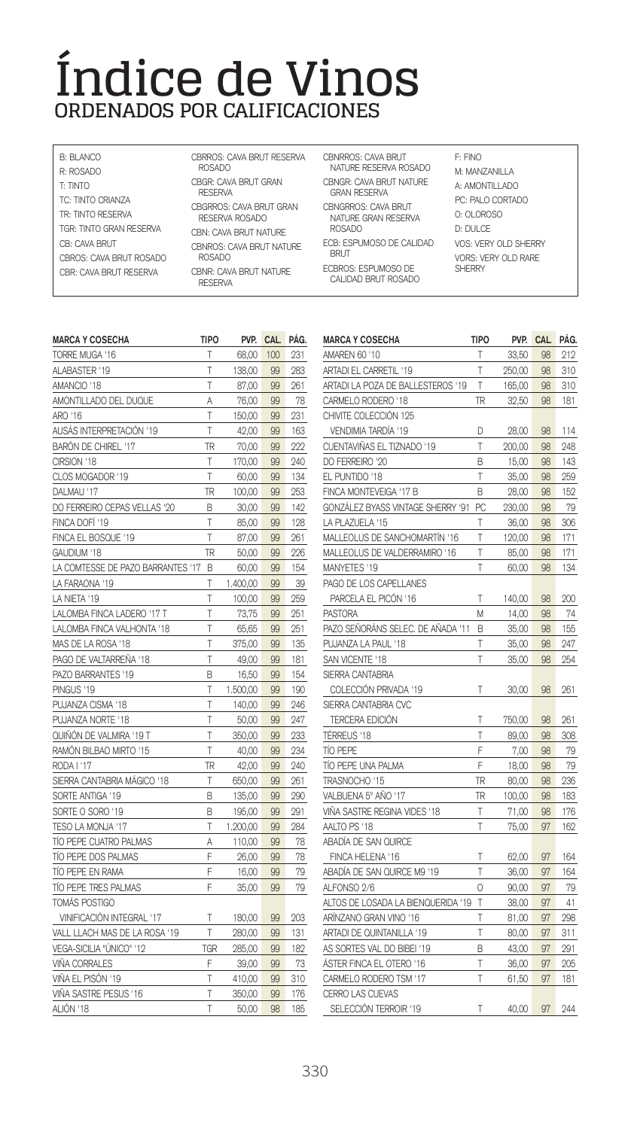## **Índice de Vinos ORDENADOS POR CALIFICACIONES**

| B: BI ANCO<br>R: ROSADO              | CBRROS: CAVA BRUT RESERVA<br>ROSADO       |
|--------------------------------------|-------------------------------------------|
| T: TINTO<br><b>TC: TINTO CRIANZA</b> | CBGR: CAVA BRUT GRAN<br><b>RESERVA</b>    |
| TR: TINTO RESERVA                    | CBGRROS: CAVA BRUT GRAN<br>RESERVA ROSADO |
| TGR: TINTO GRAN RESERVA              | CRN: CAVA RRI IT NATLIRE                  |
| CB: CAVA BRUT                        | CBNROS: CAVA BRUT NATURE                  |
| CBROS: CAVA BRUT ROSADO              | <b>ROSADO</b>                             |
| CRR CAVA RRI IT RESERVA              | CBNR: CAVA BRUT NATURE<br><b>RESERVA</b>  |

CBNRROS: CAVA BRUT F: FINO<br>NATURE RESERVA ROSADO M: MANZANILLA CBNGR: CAVA BRUT NATURE A: AMONTILLADO GRAN RESERVA CBNGRROS: CAVA BRUT NATURE GRAN RESERVA ROSADO

**BRUT** ECBROS: ESPUMOSO DE CALIDAD BRUT ROSADO

## ECB: ESPUMOSO DE CALIDAD VOS: VERY OLD SHERRY PC: PALO CORTADO O: OLOROSO D: DULCE VORS: VERY OLD RARE **SHERRY**

| Т<br>68,00<br>100<br>231<br>T<br>138,00<br>99<br>283<br>T<br>87,00<br>99<br>261<br>78<br>76,00<br>99<br>Α<br>T<br>99<br>231<br>150,00<br>T<br>AUSÁS INTERPRETACIÓN '19<br>163<br>42,00<br>99<br>BARÓN DE CHIREL '17<br>TR<br>99<br>222<br>70,00<br>T<br>CIRSION '18<br>170,00<br>99<br>240<br>T<br>99<br>134<br>60,00<br>TR<br>100,00<br>99<br>253<br>DO FERREIRO CEPAS VELLAS '20<br>B<br>30,00<br>99<br>142<br>T<br>99<br>128<br>85,00<br>T<br>87,00<br>99<br>261<br>TR<br>50,00<br>99<br>226<br>LA COMTESSE DE PAZO BARRANTES '17<br>60,00<br>99<br>154<br>B<br>T<br>39<br>1.400,00<br>99<br>T<br>259<br>LA NIETA '19<br>100,00<br>99<br>T<br>73,75<br>99<br>251<br>LALOMBA FINCA VALHONTA '18<br>T<br>251<br>65,65<br>99<br>T<br>135<br>375,00<br>99<br>PAGO DE VALTARREÑA '18<br>T<br>99<br>49.00<br>181<br>154<br>PAZO BARRANTES '19<br>B<br>16,50<br>99<br>T<br>1.500,00<br>99<br>190<br>PUJANZA CISMA '18<br>T<br>140,00<br>99<br>246<br>Т<br>99<br>247<br>50,00<br>T<br>99<br>233<br>350,00<br>T<br>40,00<br>99<br>234<br>TR<br>42,00<br>99<br>240<br>SIERRA CANTABRIA MÁGICO '18<br>T<br>650,00<br>99<br>261<br>SORTE ANTIGA '19<br>B<br>135,00<br>99<br>290<br>SORTE O SORO '19<br>B<br>99<br>291<br>195,00<br>T<br>1.200,00<br>99<br>284<br>110,00<br>99<br>78<br>Α<br>Ē<br>TÍO PEPE DOS PALMAS<br>99<br>78<br>26,00<br>Ē<br>16,00<br>99<br>79<br>F<br>TÍO PEPE TRES PALMAS<br>79<br>35,00<br>99<br>VINIFICACIÓN INTEGRAL '17<br>Т<br>180,00<br>99<br>203<br>T<br>280,00<br>99<br>131<br>TGR<br>285,00<br>99<br>182<br>F<br>99<br>39,00<br>73<br>T<br>99<br>310<br>410,00<br>T<br>VIÑA SASTRE PESUS '16<br>350,00<br>99<br>176<br>T<br>50,00<br>98<br>185 | <b>MARCA Y COSECHA</b>        | <b>TIPO</b> | PVP. | CAL. | PÁG. |
|-----------------------------------------------------------------------------------------------------------------------------------------------------------------------------------------------------------------------------------------------------------------------------------------------------------------------------------------------------------------------------------------------------------------------------------------------------------------------------------------------------------------------------------------------------------------------------------------------------------------------------------------------------------------------------------------------------------------------------------------------------------------------------------------------------------------------------------------------------------------------------------------------------------------------------------------------------------------------------------------------------------------------------------------------------------------------------------------------------------------------------------------------------------------------------------------------------------------------------------------------------------------------------------------------------------------------------------------------------------------------------------------------------------------------------------------------------------------------------------------------------------------------------------------------------------------------------------------------------------------------------------------------------------------------|-------------------------------|-------------|------|------|------|
|                                                                                                                                                                                                                                                                                                                                                                                                                                                                                                                                                                                                                                                                                                                                                                                                                                                                                                                                                                                                                                                                                                                                                                                                                                                                                                                                                                                                                                                                                                                                                                                                                                                                       | TORRE MUGA '16                |             |      |      |      |
|                                                                                                                                                                                                                                                                                                                                                                                                                                                                                                                                                                                                                                                                                                                                                                                                                                                                                                                                                                                                                                                                                                                                                                                                                                                                                                                                                                                                                                                                                                                                                                                                                                                                       | ALABASTER '19                 |             |      |      |      |
|                                                                                                                                                                                                                                                                                                                                                                                                                                                                                                                                                                                                                                                                                                                                                                                                                                                                                                                                                                                                                                                                                                                                                                                                                                                                                                                                                                                                                                                                                                                                                                                                                                                                       | AMANCIO '18                   |             |      |      |      |
|                                                                                                                                                                                                                                                                                                                                                                                                                                                                                                                                                                                                                                                                                                                                                                                                                                                                                                                                                                                                                                                                                                                                                                                                                                                                                                                                                                                                                                                                                                                                                                                                                                                                       | AMONTILLADO DEL DUQUE         |             |      |      |      |
|                                                                                                                                                                                                                                                                                                                                                                                                                                                                                                                                                                                                                                                                                                                                                                                                                                                                                                                                                                                                                                                                                                                                                                                                                                                                                                                                                                                                                                                                                                                                                                                                                                                                       | ARO '16                       |             |      |      |      |
|                                                                                                                                                                                                                                                                                                                                                                                                                                                                                                                                                                                                                                                                                                                                                                                                                                                                                                                                                                                                                                                                                                                                                                                                                                                                                                                                                                                                                                                                                                                                                                                                                                                                       |                               |             |      |      |      |
|                                                                                                                                                                                                                                                                                                                                                                                                                                                                                                                                                                                                                                                                                                                                                                                                                                                                                                                                                                                                                                                                                                                                                                                                                                                                                                                                                                                                                                                                                                                                                                                                                                                                       |                               |             |      |      |      |
|                                                                                                                                                                                                                                                                                                                                                                                                                                                                                                                                                                                                                                                                                                                                                                                                                                                                                                                                                                                                                                                                                                                                                                                                                                                                                                                                                                                                                                                                                                                                                                                                                                                                       |                               |             |      |      |      |
|                                                                                                                                                                                                                                                                                                                                                                                                                                                                                                                                                                                                                                                                                                                                                                                                                                                                                                                                                                                                                                                                                                                                                                                                                                                                                                                                                                                                                                                                                                                                                                                                                                                                       | CLOS MOGADOR '19              |             |      |      |      |
|                                                                                                                                                                                                                                                                                                                                                                                                                                                                                                                                                                                                                                                                                                                                                                                                                                                                                                                                                                                                                                                                                                                                                                                                                                                                                                                                                                                                                                                                                                                                                                                                                                                                       | DALMAU '17                    |             |      |      |      |
|                                                                                                                                                                                                                                                                                                                                                                                                                                                                                                                                                                                                                                                                                                                                                                                                                                                                                                                                                                                                                                                                                                                                                                                                                                                                                                                                                                                                                                                                                                                                                                                                                                                                       |                               |             |      |      |      |
|                                                                                                                                                                                                                                                                                                                                                                                                                                                                                                                                                                                                                                                                                                                                                                                                                                                                                                                                                                                                                                                                                                                                                                                                                                                                                                                                                                                                                                                                                                                                                                                                                                                                       | FINCA DOFÍ '19                |             |      |      |      |
|                                                                                                                                                                                                                                                                                                                                                                                                                                                                                                                                                                                                                                                                                                                                                                                                                                                                                                                                                                                                                                                                                                                                                                                                                                                                                                                                                                                                                                                                                                                                                                                                                                                                       | FINCA EL BOSQUE '19           |             |      |      |      |
|                                                                                                                                                                                                                                                                                                                                                                                                                                                                                                                                                                                                                                                                                                                                                                                                                                                                                                                                                                                                                                                                                                                                                                                                                                                                                                                                                                                                                                                                                                                                                                                                                                                                       | GAUDIUM '18                   |             |      |      |      |
|                                                                                                                                                                                                                                                                                                                                                                                                                                                                                                                                                                                                                                                                                                                                                                                                                                                                                                                                                                                                                                                                                                                                                                                                                                                                                                                                                                                                                                                                                                                                                                                                                                                                       |                               |             |      |      |      |
|                                                                                                                                                                                                                                                                                                                                                                                                                                                                                                                                                                                                                                                                                                                                                                                                                                                                                                                                                                                                                                                                                                                                                                                                                                                                                                                                                                                                                                                                                                                                                                                                                                                                       | LA FARAONA '19                |             |      |      |      |
|                                                                                                                                                                                                                                                                                                                                                                                                                                                                                                                                                                                                                                                                                                                                                                                                                                                                                                                                                                                                                                                                                                                                                                                                                                                                                                                                                                                                                                                                                                                                                                                                                                                                       |                               |             |      |      |      |
|                                                                                                                                                                                                                                                                                                                                                                                                                                                                                                                                                                                                                                                                                                                                                                                                                                                                                                                                                                                                                                                                                                                                                                                                                                                                                                                                                                                                                                                                                                                                                                                                                                                                       | LALOMBA FINCA LADERO '17 T    |             |      |      |      |
|                                                                                                                                                                                                                                                                                                                                                                                                                                                                                                                                                                                                                                                                                                                                                                                                                                                                                                                                                                                                                                                                                                                                                                                                                                                                                                                                                                                                                                                                                                                                                                                                                                                                       |                               |             |      |      |      |
|                                                                                                                                                                                                                                                                                                                                                                                                                                                                                                                                                                                                                                                                                                                                                                                                                                                                                                                                                                                                                                                                                                                                                                                                                                                                                                                                                                                                                                                                                                                                                                                                                                                                       | MAS DE LA ROSA '18            |             |      |      |      |
|                                                                                                                                                                                                                                                                                                                                                                                                                                                                                                                                                                                                                                                                                                                                                                                                                                                                                                                                                                                                                                                                                                                                                                                                                                                                                                                                                                                                                                                                                                                                                                                                                                                                       |                               |             |      |      |      |
|                                                                                                                                                                                                                                                                                                                                                                                                                                                                                                                                                                                                                                                                                                                                                                                                                                                                                                                                                                                                                                                                                                                                                                                                                                                                                                                                                                                                                                                                                                                                                                                                                                                                       |                               |             |      |      |      |
|                                                                                                                                                                                                                                                                                                                                                                                                                                                                                                                                                                                                                                                                                                                                                                                                                                                                                                                                                                                                                                                                                                                                                                                                                                                                                                                                                                                                                                                                                                                                                                                                                                                                       | PINGUS '19                    |             |      |      |      |
|                                                                                                                                                                                                                                                                                                                                                                                                                                                                                                                                                                                                                                                                                                                                                                                                                                                                                                                                                                                                                                                                                                                                                                                                                                                                                                                                                                                                                                                                                                                                                                                                                                                                       |                               |             |      |      |      |
|                                                                                                                                                                                                                                                                                                                                                                                                                                                                                                                                                                                                                                                                                                                                                                                                                                                                                                                                                                                                                                                                                                                                                                                                                                                                                                                                                                                                                                                                                                                                                                                                                                                                       | PUJANZA NORTE '18             |             |      |      |      |
|                                                                                                                                                                                                                                                                                                                                                                                                                                                                                                                                                                                                                                                                                                                                                                                                                                                                                                                                                                                                                                                                                                                                                                                                                                                                                                                                                                                                                                                                                                                                                                                                                                                                       | QUIÑÓN DE VALMIRA '19 T       |             |      |      |      |
|                                                                                                                                                                                                                                                                                                                                                                                                                                                                                                                                                                                                                                                                                                                                                                                                                                                                                                                                                                                                                                                                                                                                                                                                                                                                                                                                                                                                                                                                                                                                                                                                                                                                       | RAMÓN BILBAO MIRTO '15        |             |      |      |      |
|                                                                                                                                                                                                                                                                                                                                                                                                                                                                                                                                                                                                                                                                                                                                                                                                                                                                                                                                                                                                                                                                                                                                                                                                                                                                                                                                                                                                                                                                                                                                                                                                                                                                       | RODA I '17                    |             |      |      |      |
|                                                                                                                                                                                                                                                                                                                                                                                                                                                                                                                                                                                                                                                                                                                                                                                                                                                                                                                                                                                                                                                                                                                                                                                                                                                                                                                                                                                                                                                                                                                                                                                                                                                                       |                               |             |      |      |      |
|                                                                                                                                                                                                                                                                                                                                                                                                                                                                                                                                                                                                                                                                                                                                                                                                                                                                                                                                                                                                                                                                                                                                                                                                                                                                                                                                                                                                                                                                                                                                                                                                                                                                       |                               |             |      |      |      |
|                                                                                                                                                                                                                                                                                                                                                                                                                                                                                                                                                                                                                                                                                                                                                                                                                                                                                                                                                                                                                                                                                                                                                                                                                                                                                                                                                                                                                                                                                                                                                                                                                                                                       |                               |             |      |      |      |
|                                                                                                                                                                                                                                                                                                                                                                                                                                                                                                                                                                                                                                                                                                                                                                                                                                                                                                                                                                                                                                                                                                                                                                                                                                                                                                                                                                                                                                                                                                                                                                                                                                                                       | TESO LA MONJA '17             |             |      |      |      |
|                                                                                                                                                                                                                                                                                                                                                                                                                                                                                                                                                                                                                                                                                                                                                                                                                                                                                                                                                                                                                                                                                                                                                                                                                                                                                                                                                                                                                                                                                                                                                                                                                                                                       | TIO PEPE CUATRO PALMAS        |             |      |      |      |
|                                                                                                                                                                                                                                                                                                                                                                                                                                                                                                                                                                                                                                                                                                                                                                                                                                                                                                                                                                                                                                                                                                                                                                                                                                                                                                                                                                                                                                                                                                                                                                                                                                                                       |                               |             |      |      |      |
|                                                                                                                                                                                                                                                                                                                                                                                                                                                                                                                                                                                                                                                                                                                                                                                                                                                                                                                                                                                                                                                                                                                                                                                                                                                                                                                                                                                                                                                                                                                                                                                                                                                                       | TÍO PEPE EN RAMA              |             |      |      |      |
|                                                                                                                                                                                                                                                                                                                                                                                                                                                                                                                                                                                                                                                                                                                                                                                                                                                                                                                                                                                                                                                                                                                                                                                                                                                                                                                                                                                                                                                                                                                                                                                                                                                                       |                               |             |      |      |      |
|                                                                                                                                                                                                                                                                                                                                                                                                                                                                                                                                                                                                                                                                                                                                                                                                                                                                                                                                                                                                                                                                                                                                                                                                                                                                                                                                                                                                                                                                                                                                                                                                                                                                       | TOMÁS POSTIGO                 |             |      |      |      |
|                                                                                                                                                                                                                                                                                                                                                                                                                                                                                                                                                                                                                                                                                                                                                                                                                                                                                                                                                                                                                                                                                                                                                                                                                                                                                                                                                                                                                                                                                                                                                                                                                                                                       |                               |             |      |      |      |
|                                                                                                                                                                                                                                                                                                                                                                                                                                                                                                                                                                                                                                                                                                                                                                                                                                                                                                                                                                                                                                                                                                                                                                                                                                                                                                                                                                                                                                                                                                                                                                                                                                                                       | VALL LLACH MAS DE LA ROSA '19 |             |      |      |      |
|                                                                                                                                                                                                                                                                                                                                                                                                                                                                                                                                                                                                                                                                                                                                                                                                                                                                                                                                                                                                                                                                                                                                                                                                                                                                                                                                                                                                                                                                                                                                                                                                                                                                       | VEGA-SICILIA "ÚNICO" '12      |             |      |      |      |
|                                                                                                                                                                                                                                                                                                                                                                                                                                                                                                                                                                                                                                                                                                                                                                                                                                                                                                                                                                                                                                                                                                                                                                                                                                                                                                                                                                                                                                                                                                                                                                                                                                                                       | VIÑA CORRALES                 |             |      |      |      |
|                                                                                                                                                                                                                                                                                                                                                                                                                                                                                                                                                                                                                                                                                                                                                                                                                                                                                                                                                                                                                                                                                                                                                                                                                                                                                                                                                                                                                                                                                                                                                                                                                                                                       | VIÑA EL PISÓN '19             |             |      |      |      |
|                                                                                                                                                                                                                                                                                                                                                                                                                                                                                                                                                                                                                                                                                                                                                                                                                                                                                                                                                                                                                                                                                                                                                                                                                                                                                                                                                                                                                                                                                                                                                                                                                                                                       |                               |             |      |      |      |
|                                                                                                                                                                                                                                                                                                                                                                                                                                                                                                                                                                                                                                                                                                                                                                                                                                                                                                                                                                                                                                                                                                                                                                                                                                                                                                                                                                                                                                                                                                                                                                                                                                                                       | ALIÓN '18                     |             |      |      |      |

| <b>MARCA Y COSECHA</b>             | <b>TIPO</b> | PVP.   | <b>CAL</b> | PÁG. |
|------------------------------------|-------------|--------|------------|------|
| AMAREN 60 '10                      | Τ           | 33,50  | 98         | 212  |
| ARTADI EL CARRETIL '19             | Τ           | 250,00 | 98         | 310  |
| ARTADI LA POZA DE BALLESTEROS '19  | T           | 165,00 | 98         | 310  |
| CARMELO RODERO '18                 | <b>TR</b>   | 32,50  | 98         | 181  |
| CHIVITE COLECCIÓN 125              |             |        |            |      |
| VENDIMIA TARDÍA '19                | D           | 28,00  | 98         | 114  |
| CUENTAVIÑAS EL TIZNADO '19         | T           | 200.00 | 98         | 248  |
| DO FERREIRO '20                    | B           | 15,00  | 98         | 143  |
| EL PUNTIDO '18                     | T           | 35,00  | 98         | 259  |
| FINCA MONTEVEIGA '17 B             | B           | 28,00  | 98         | 152  |
| GONZALEZ BYASS VINTAGE SHERRY '91  | PC.         | 230,00 | 98         | 79   |
| LA PLAZUELA '15                    | T           | 36,00  | 98         | 306  |
| MALLEOLUS DE SANCHOMARTÍN '16      | T           | 120,00 | 98         | 171  |
| MALLEOLUS DE VALDERRAMIRO '16      | Τ           | 85,00  | 98         | 171  |
| MANYETES '19                       | T           | 60,00  | 98         | 134  |
| PAGO DE LOS CAPELLANES             |             |        |            |      |
| PARCELA EL PICÓN '16               | T           | 140,00 | 98         | 200  |
| <b>PASTORA</b>                     | M           | 14,00  | 98         | 74   |
| PAZO SEÑORÁNS SELEC. DE AÑADA '11  | B           | 35,00  | 98         | 155  |
| PUJANZA LA PAUL '18                | T           | 35,00  | 98         | 247  |
| SAN VICENTE '18                    | T           | 35,00  | 98         | 254  |
| <b>SIERRA CANTABRIA</b>            |             |        |            |      |
| COLECCIÓN PRIVADA '19              | Т           | 30,00  | 98         | 261  |
| SIERRA CANTABRIA CVC               |             |        |            |      |
| <b>TERCERA EDICIÓN</b>             | Τ           | 750,00 | 98         | 261  |
| TÉRREUS '18                        | T           | 89,00  | 98         | 308  |
| <b>TÍO PEPE</b>                    | F           | 7,00   | 98         | 79   |
| TÍO PEPE UNA PALMA                 | F           | 18,00  | 98         | 79   |
| TRASNOCHO '15                      | TR          | 80,00  | 98         | 236  |
| VALBUENA 5° AÑO '17                | <b>TR</b>   | 100.00 | 98         | 183  |
| VIÑA SASTRE REGINA VIDES '18       | Τ           | 71,00  | 98         | 176  |
| AALTO PS '18                       | T           | 75,00  | 97         | 162  |
| ABADÍA DE SAN QUIRCE               |             |        |            |      |
| FINCA HELENA '16                   | Τ           | 62,00  | 97         | 164  |
| ABADÍA DE SAN QUIRCE M9 '19        | T           | 36,00  | 97         | 164  |
| ALFONSO 2/6                        | 0           | 90,00  | 97         | 79   |
| ALTOS DE LOSADA LA BIENQUERIDA '19 | T           | 38,00  | 97         | 41   |
| ARÍNZANO GRAN VINO '16             | T           | 81,00  | 97         | 298  |
| ARTADI DE QUINTANILLA '19          | T           | 80,00  | 97         | 311  |
| AS SORTES VAL DO BIBEI '19         | B           | 43,00  | 97         | 291  |
| ASTER FINCA EL OTERO '16           | T           | 36,00  | 97         | 205  |
| CARMELO RODERO TSM '17             | T           | 61,50  | 97         | 181  |
| CERRO LAS CUEVAS                   |             |        |            |      |
| SELECCIÓN TERROIR '19              | T           | 40,00  | 97         | 244  |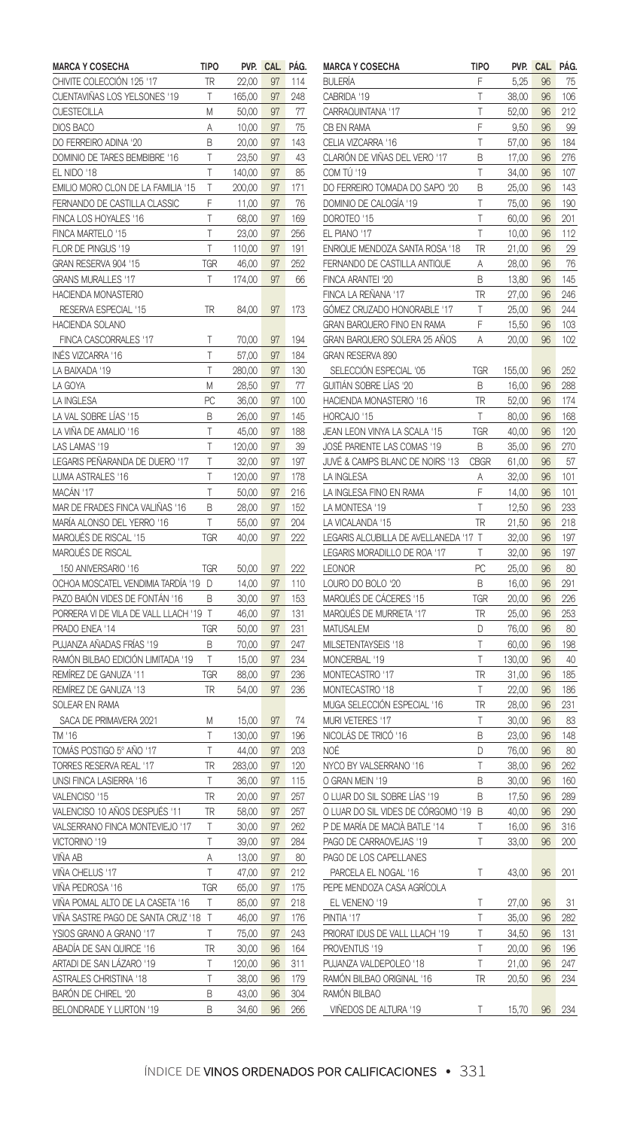| <b>MARCA Y COSECHA</b>                     | tipo       | PVP.           | <b>CAL</b> | PÁG. |
|--------------------------------------------|------------|----------------|------------|------|
| CHIVITE COLECCIÓN 125 '17                  | TR         | 22,00          | 97         | 114  |
| CUENTAVIÑAS LOS YELSONES '19               | T          | 165,00         | 97         | 248  |
| <b>CUESTECILLA</b>                         | M          | 50,00          | 97         | 77   |
| DIOS BACO                                  | Α          | 10,00          | 97         | 75   |
| DO FERREIRO ADINA '20                      | B          | 20,00          | 97         | 143  |
| DOMINIO DE TARES BEMBIBRE '16              | т          | 23,50          | 97         | 43   |
| EL NIDO '18                                | T          | 140,00         | 97         | 85   |
| EMILIO MORO CLON DE LA FAMILIA '15         | Ţ          | 200,00         | 97         | 171  |
| FERNANDO DE CASTILLA CLASSIC               | F          | 11,00          | 97         | 76   |
| FINCA LOS HOYALES '16                      | T          | 68,00          | 97         | 169  |
| FINCA MARTELO '15                          | T          | 23,00          | 97         | 256  |
| FLOR DE PINGUS '19                         | T          | 110,00         | 97         | 191  |
| GRAN RESERVA 904 '15                       | TGR        | 46,00          | 97         | 252  |
| <b>GRANS MURALLES '17</b>                  | T          | 174,00         | 97         | 66   |
| HACIENDA MONASTERIO                        |            |                |            |      |
| RESERVA ESPECIAL '15                       | TR         | 84,00          | 97         | 173  |
| HACIENDA SOLANO                            |            |                |            |      |
| FINCA CASCORRALES '17                      | T          | 70,00          | 97         | 194  |
| INÉS VIZCARRA '16                          | T          | 57,00          | 97         | 184  |
| LA BAIXADA '19                             | T          | 280,00         | 97         | 130  |
| LA GOYA                                    | M          | 28,50          | 97         | 77   |
| LA INGLESA                                 | PC         | 36,00          | 97         | 100  |
| LA VAL SOBRE LÍAS '15                      | B          | 26,00          | 97         | 145  |
| LA VIÑA DE AMALIO '16                      | Т          | 45,00          | 97         | 188  |
| LAS LAMAS '19                              | T          | 120,00         | 97         | 39   |
| LEGARIS PEÑARANDA DE DUERO '17             | T          | 32,00          | 97         | 197  |
| LUMA ASTRALES '16                          | T          | 120,00         | 97         | 178  |
| MACÁN '17                                  | T          |                | 97         | 216  |
| MAR DE FRADES FINCA VALIÑAS '16            | B          | 50,00<br>28,00 | 97         | 152  |
| MARÍA ALONSO DEL YERRO '16                 | T          |                | 97         | 204  |
|                                            |            | 55,00          |            |      |
| MARQUÉS DE RISCAL '15<br>MARQUÉS DE RISCAL | TGR        | 40,00          | 97         | 222  |
| 150 ANIVERSARIO '16                        | TGR        |                | 97         |      |
| OCHOA MOSCATEL VENDIMIA TARDÍA '19         |            | 50,00          |            | 222  |
|                                            | D          | 14,00          | 97         | 110  |
| PAZO BAIÓN VIDES DE FONTÁN '16             | В          | 30,00          | 97         | 153  |
| PORRERA VI DE VILA DE VALL LLACH '19       | T          | 46,00          | 97         | 131  |
| PRADO ENEA '14                             | <b>TGR</b> | 50,00          | 97         | 231  |
| PUJANZA AÑADAS FRÍAS '19                   | B          | 70,00          | 97         | 247  |
| RAMÓN BILBAO EDICIÓN LIMITADA '19          | T          | 15,00          | 97         | 234  |
| REMÍREZ DE GANUZA '11                      | TGR        | 88,00          | 97         | 236  |
| REMÍREZ DE GANUZA '13                      | TR         | 54,00          | 97         | 236  |
| SOLEAR EN RAMA                             |            |                |            |      |
| SACA DE PRIMAVERA 2021                     | M          | 15,00          | 97         | 74   |
| TM '16                                     | T          | 130,00         | 97         | 196  |
| TOMÁS POSTIGO 5º AÑO '17                   | T          | 44,00          | 97         | 203  |
| TORRES RESERVA REAL '17                    | TR         | 283,00         | 97         | 120  |
| UNSI FINCA LASIERRA '16                    | Т          | 36,00          | 97         | 115  |
| VALENCISO '15                              | TR         | 20,00          | 97         | 257  |
| VALENCISO 10 AÑOS DESPUÉS '11              | TR         | 58,00          | 97         | 257  |
| VALSERRANO FINCA MONTEVIEJO '17            | Т          | 30,00          | 97         | 262  |
| VICTORINO '19                              | T          | 39,00          | 97         | 284  |
| VIÑA AB                                    | A          | 13,00          | 97         | 80   |
| VIÑA CHELUS '17                            | T          | 47,00          | 97         | 212  |
| VIÑA PEDROSA '16                           | TGR        | 65,00          | 97         | 175  |
| VIÑA POMAL ALTO DE LA CASETA '16           | Т          | 85,00          | 97         | 218  |
| VIÑA SASTRE PAGO DE SANTA CRUZ '18         | T          | 46,00          | 97         | 176  |
| YSIOS GRANO A GRANO '17                    | T          | 75,00          | 97         | 243  |
| ABADÍA DE SAN QUIRCE '16                   | TR         | 30,00          | 96         | 164  |
| ARTADI DE SAN LÁZARO '19                   | T          | 120,00         | 96         | 311  |
| <b>ASTRALES CHRISTINA '18</b>              | T          | 38,00          | 96         | 179  |
| BARÓN DE CHIREL '20                        | B          | 43,00          | 96         | 304  |
| BELONDRADE Y LURTON '19                    | B          | 34,60          | 96         | 266  |

| <b>MARCA Y COSECHA</b>              | TIPO        | pvp.   | CAL | PAG. |
|-------------------------------------|-------------|--------|-----|------|
| <b>BULERÍA</b>                      | F           | 5,25   | 96  | 75   |
| CABRIDA '19                         | T           | 38,00  | 96  | 106  |
| CARRAQUINTANA '17                   | T           | 52,00  | 96  | 212  |
| CB EN RAMA                          | F           | 9,50   | 96  | 99   |
| CELIA VIZCARRA '16                  | T           | 57,00  | 96  | 184  |
| CLARIÓN DE VIÑAS DEL VERO '17       | B           | 17,00  | 96  | 276  |
| COM TÚ '19                          | Τ           | 34,00  | 96  | 107  |
| DO FERREIRO TOMADA DO SAPO '20      | B           | 25,00  | 96  | 143  |
| DOMINIO DE CALOGÍA '19              | T           | 75,00  | 96  | 190  |
| DOROTEO '15                         | T           | 60,00  | 96  | 201  |
| EL PIANO '17                        | T           | 10,00  | 96  | 112  |
| ENRIQUE MENDOZA SANTA ROSA '18      | TR          | 21,00  | 96  | 29   |
|                                     | A           |        | 96  | 76   |
| FERNANDO DE CASTILLA ANTIQUE        | B           | 28,00  | 96  | 145  |
| FINCA ARANTEI '20                   | TR          | 13,80  |     |      |
| FINCA LA REÑANA '17                 |             | 27,00  | 96  | 246  |
| GÓMEZ CRUZADO HONORABLE '17         | T           | 25,00  | 96  | 244  |
| GRAN BARQUERO FINO EN RAMA          | F           | 15,50  | 96  | 103  |
| GRAN BARQUERO SOLERA 25 AÑOS        | A           | 20,00  | 96  | 102  |
| GRAN RESERVA 890                    |             |        |     |      |
| SELECCIÓN ESPECIAL '05              | TGR         | 155,00 | 96  | 252  |
| GUITIÁN SOBRE LÍAS '20              | B           | 16,00  | 96  | 288  |
| HACIENDA MONASTERIO '16             | TR          | 52,00  | 96  | 174  |
| HORCAJO '15                         | T           | 80,00  | 96  | 168  |
| JEAN LEON VINYA LA SCALA '15        | TGR         | 40,00  | 96  | 120  |
| JOSÉ PARIENTE LAS COMAS '19         | В           | 35,00  | 96  | 270  |
| JUVÉ & CAMPS BLANC DE NOIRS '13     | <b>CBGR</b> | 61,00  | 96  | 57   |
| LA INGLESA                          | A           | 32,00  | 96  | 101  |
| LA INGLESA FINO EN RAMA             | F           | 14,00  | 96  | 101  |
| LA MONTESA '19                      | T           | 12,50  | 96  | 233  |
| LA VICALANDA '15                    | TR          | 21,50  | 96  | 218  |
| LEGARIS ALCUBILLA DE AVELLANEDA '17 | T           | 32,00  | 96  | 197  |
| LEGARIS MORADILLO DE ROA '17        | T           | 32,00  | 96  | 197  |
| LEONOR                              | PC          | 25,00  | 96  | 80   |
| LOURO DO BOLO '20                   | R           | 16,00  | 96  | 291  |
| MARQUÉS DE CÁCERES '15              | TGR         | 20,00  | 96  | 226  |
| MARQUÉS DE MURRIETA '17             | TR          | 25,00  | 96  | 253  |
| MATUSALEM                           | D           | 76,00  | 96  | 80   |
| MILSETENTAYSEIS '18                 | T           | 60,00  | 96  | 198  |
| MONCERBAL '19                       | T           | 130,00 | 96  | 40   |
| MONTECASTRO<br>'17                  | TR          | 31,00  | 96  | 185  |
| MONTECASTRO '18                     | Ţ           | 22,00  | 96  | 186  |
| MUGA SELECCIÓN ESPECIAL '16         | TR          | 28,00  | 96  | 231  |
| MURI VETERES '17                    | T           | 30,00  | 96  | 83   |
| NICOLÁS DE TRICÓ '16                | В           | 23,00  | 96  | 148  |
| NOÉ                                 | D           | 76,00  | 96  | 80   |
| NYCO BY VALSERRANO '16              | Т           | 38,00  | 96  | 262  |
| O GRAN MEIN '19                     | B           |        | 96  | 160  |
| O LUAR DO SIL SOBRE LÍAS '19        | B           | 30,00  |     |      |
|                                     |             | 17,50  | 96  | 289  |
| O LUAR DO SIL VIDES DE CÓRGOMO '19  | В<br>T      | 40,00  | 96  | 290  |
| P DE MARÍA DE MACIÀ BATLE '14       |             | 16,00  | 96  | 316  |
| PAGO DE CARRAOVEJAS '19             | T           | 33,00  | 96  | 200  |
| PAGO DE LOS CAPELLANES              |             |        |     |      |
| PARCELA EL NOGAL '16                | T           | 43,00  | 96  | 201  |
| PEPE MENDOZA CASA AGRÍCOLA          |             |        |     |      |
| EL VENENO '19                       | T           | 27,00  | 96  | 31   |
| PINTIA '17                          | T           | 35,00  | 96  | 282  |
| PRIORAT IDUS DE VALL LLACH '19      | T           | 34,50  | 96  | 131  |
| PROVENTUS '19                       | Ţ           | 20,00  | 96  | 196  |
| PUJANZA VALDEPOLEO '18              | T           | 21,00  | 96  | 247  |
| RAMÓN BILBAO ORIGINAL '16           | TR          | 20,50  | 96  | 234  |
| RAMÓN BILBAO                        |             |        |     |      |
| VIÑEDOS DE ALTURA '19               | T           | 15,70  | 96  | 234  |
|                                     |             |        |     |      |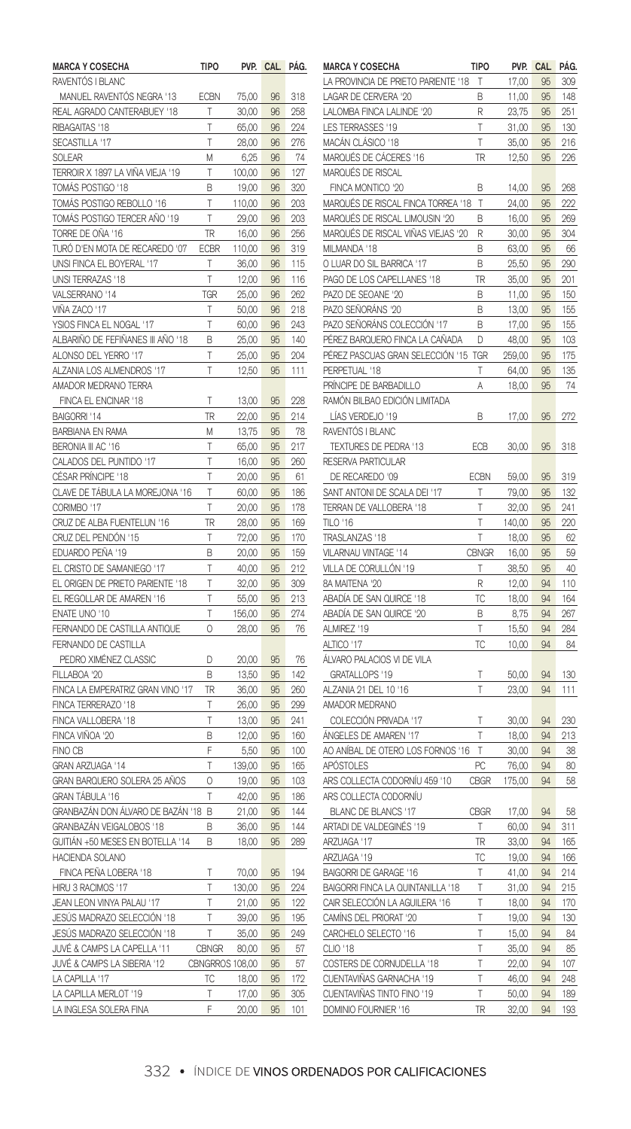| <b>MARCA Y COSECHA</b>            | <b>TIPO</b>     | PVP.   | CAL. | PAG. |
|-----------------------------------|-----------------|--------|------|------|
| RAVENTÓS I BLANC                  |                 |        |      |      |
| MANUEL RAVENTÓS NEGRA '13         | ECBN            | 75,00  | 96   | 318  |
| REAL AGRADO CANTERABUEY '18       | Т               | 30,00  | 96   | 258  |
| RIBAGAITAS '18                    | T               | 65,00  | 96   | 224  |
| SECASTILLA '17                    | T               | 28,00  | 96   | 276  |
| SOLEAR                            | M               | 6,25   | 96   | 74   |
| TERROIR X 1897 LA VIÑA VIEJA '19  | T               | 100,00 | 96   | 127  |
| TOMÁS POSTIGO '18                 | B               | 19,00  | 96   | 320  |
| TOMÁS POSTIGO REBOLLO '16         | Т               | 110,00 | 96   | 203  |
| TOMÁS POSTIGO TERCER AÑO '19      | T               | 29,00  | 96   | 203  |
| TORRE DE OÑA '16                  | TR              | 16,00  | 96   | 256  |
| TURÓ D'EN MOTA DE RECAREDO '07    | <b>ECBR</b>     | 110,00 | 96   | 319  |
| UNSI FINCA EL BOYERAL '17         | T               | 36,00  | 96   | 115  |
| UNSI TERRAZAS '18                 | T               | 12,00  | 96   | 116  |
| VALSERRANO '14                    | TGR             | 25,00  | 96   | 262  |
| VIÑA ZACO '17                     | T               | 50,00  | 96   | 218  |
| YSIOS FINCA EL NOGAL '17          | Т               | 60,00  | 96   | 243  |
| ALBARIÑO DE FEFIÑANES III AÑO '18 | B               | 25,00  | 95   | 140  |
| ALONSO DEL YERRO '17              | T               | 25,00  | 95   | 204  |
| ALZANIA LOS ALMENDROS '17         | T               | 12,50  | 95   | 111  |
| AMADOR MEDRANO TERRA              |                 |        |      |      |
| FINCA EL ENCINAR '18              | T               | 13,00  | 95   | 228  |
| BAIGORRI '14                      | TR              | 22,00  | 95   | 214  |
| <b>BARBIANA EN RAMA</b>           | M               | 13,75  | 95   | 78   |
| BERONIA III AC '16                | T               | 65,00  | 95   | 217  |
| CALADOS DEL PUNTIDO '17           | T               | 16,00  | 95   | 260  |
| CÉSAR PRÍNCIPE '18                | Т               | 20,00  | 95   | 61   |
| CLAVE DE TÁBULA LA MOREJONA '16   | T               | 60,00  | 95   | 186  |
| CORIMBO '17                       | T               | 20,00  | 95   | 178  |
| CRUZ DE ALBA FUENTELUN '16        | TR              | 28,00  | 95   | 169  |
| CRUZ DEL PENDÓN '15               | T               | 72,00  | 95   | 170  |
| EDUARDO PEÑA '19                  | B               | 20,00  | 95   | 159  |
| EL CRISTO DE SAMANIEGO '17        | Т               | 40,00  | 95   | 212  |
| EL ORIGEN DE PRIETO PARIENTE '18  | T               | 32,00  | 95   | 309  |
| EL REGOLLAR DE AMAREN '16         | T               | 55,00  | 95   | 213  |
| ENATE UNO '10                     | T               | 156,00 | 95   | 274  |
| FERNANDO DE CASTILLA ANTIQUE      | 0               | 28,00  | 95   | 76   |
| FERNANDO DE CASTILLA              |                 |        |      |      |
| PEDRO XIMÉNEZ CLASSIC             | D               | 20,00  | 95   | 76   |
| FILLABOA '20                      | B               | 13,50  | 95   | 142  |
| FINCA LA EMPERATRIZ GRAN VINO '17 | TR              | 36,00  | 95   | 260  |
| FINCA TERRERAZO '18               | T               | 26,00  | 95   | 299  |
| FINCA VALLOBERA '18               | T               | 13,00  | 95   | 241  |
| FINCA VIÑOA '20                   | Β               | 12,00  | 95   | 160  |
| FINO CB                           | F               | 5,50   | 95   | 100  |
| GRAN ARZUAGA '14                  | T               | 139,00 | 95   | 165  |
| GRAN BARQUERO SOLERA 25 AÑOS      | 0               | 19,00  | 95   | 103  |
| GRAN TÁBULA '16                   | T               | 42,00  | 95   | 186  |
| GRANBAZÁN DON ÁLVARO DE BAZÁN '18 | B               | 21,00  | 95   | 144  |
| GRANBAZÁN VEIGALOBOS '18          | B               | 36,00  | 95   | 144  |
| GUITIÁN +50 MESES EN BOTELLA '14  | B               | 18,00  | 95   | 289  |
| HACIENDA SOLANO                   |                 |        |      |      |
| FINCA PEÑA LOBERA '18             | T               | 70,00  | 95   | 194  |
| HIRU 3 RACIMOS '17                | T               | 130,00 | 95   | 224  |
| JEAN LEON VINYA PALAU '17         | T               | 21,00  | 95   | 122  |
| JESÚS MADRAZO SELECCIÓN '18       | T               | 39,00  | 95   | 195  |
| JESÚS MADRAZO SELECCIÓN '18       | T               | 35,00  | 95   | 249  |
| JUVÉ & CAMPS LA CAPELLA '11       | CBNGR           | 80,00  | 95   | 57   |
| JUVÉ & CAMPS LA SIBERIA '12       | CBNGRROS 108,00 |        | 95   | 57   |
| LA CAPILLA '17                    | ТC              | 18,00  | 95   | 172  |
| LA CAPILLA MERLOT '19             | T               | 17,00  | 95   | 305  |
| LA INGLESA SOLERA FINA            | F               | 20,00  | 95   | 101  |

| <b>MARCA Y COSECHA</b>              | TIPO         | PVP.          | CAL | PAG. |
|-------------------------------------|--------------|---------------|-----|------|
| LA PROVINCIA DE PRIETO PARIENTE '18 | T            | 17,00         | 95  | 309  |
| LAGAR DE CERVERA '20                | R            | 11,00         | 95  | 148  |
| LALOMBA FINCA LALINDE '20           | R            | 23,75         | 95  | 251  |
| LES TERRASSES '19                   | T            | 31,00         | 95  | 130  |
| MACÁN CLÁSICO '18                   | T            | 35,00         | 95  | 216  |
| MARQUÉS DE CÁCERES '16              | TR           | 12,50         | 95  | 226  |
| MARQUÉS DE RISCAL                   |              |               |     |      |
| FINCA MONTICO '20                   | B            | 14,00         | 95  | 268  |
| MARQUÉS DE RISCAL FINCA TORREA '18  | Т            | 24,00         | 95  | 999  |
| MARQUÉS DE RISCAL LIMOUSIN '20      | B            | 16,00         | 95  | 269  |
| MARQUÉS DE RISCAL VIÑAS VIEJAS '20  | R            | 30,00         | 95  | 304  |
| MILMANDA '18                        | B            | 63,00         | 95  | 66   |
| O LUAR DO SIL BARRICA '17           | Β            | 25,50         | 95  | 290  |
| PAGO DE LOS CAPELLANES '18          | TR           | 35,00         | 95  | 201  |
| PAZO DE SEOANE '20                  | B            | 11,00         | 95  | 150  |
| PAZO SEÑORÁNS '20                   | В            | 13,00         | 95  | 155  |
| PAZO SEÑORÁNS COLECCIÓN '17         | В            | 17,00         | 95  | 155  |
| PÉREZ BARQUERO FINCA LA CAÑADA      | D            | 48,00         | 95  | 103  |
| PÉREZ PASCUAS GRAN SELECCIÓN '15    | <b>TGR</b>   | 259,00        | 95  | 175  |
| PERPETUAL '18                       | T            | 64,00         | 95  | 135  |
| PRÍNCIPE DE BARBADILLO              | A            | 18,00         | 95  | 74   |
| RAMÓN BILBAO EDICIÓN LIMITADA       |              |               |     |      |
| LÍAS VERDEJO '19                    | R            | 17,00         | 95  | 272  |
| RAVENTÓS I BLANC                    |              |               |     |      |
| TEXTURES DE PEDRA '13               | ECB          | 30,00         | 95  | 318  |
| <b>RESERVA PARTICULAR</b>           |              |               |     |      |
| DE RECAREDO '09                     | ECBN         | 59,00         | 95  | 319  |
| SANT ANTONI DE SCALA DEI '17        | Т            | 79,00         | 95  | 132  |
| TERRAN DE VALLOBERA '18             | Τ            | 32,00         | 95  | 241  |
| TILO '16                            | Τ            | 140,00        | 95  | 220  |
| TRASLANZAS '18                      | T            | 18,00         | 95  | 62   |
| VILARNAU VINTAGE '14                | <b>CBNGR</b> | 16,00         | 95  | 59   |
| VILLA DE CORULLÓN '19               | T            | 38,50         | 95  | 40   |
| 8A MAITENA '20                      | R            | 12,00         | 94  | 110  |
| ABADÍA DE SAN QUIRCE '18            | ТC           |               | 94  | 164  |
| ABADÍA DE SAN QUIRCE '20            | R            | 18,00<br>8,75 | 94  | 267  |
| ALMIREZ '19                         | T            | 15,50         | 94  | 284  |
| ALTICO '17                          | ТC           |               |     | 84   |
| ÁLVARO PALACIOS VI DE VILA          |              | 10,00         | 94  |      |
|                                     | T            | 50.00         | 94  | 130  |
| GRATALLOPS '19                      | T            |               |     |      |
| ALZANIA 21 DEL 10 '16               |              | 23,00         | 94  | 111  |
| AMADOR MEDRANO                      |              |               |     |      |
| COLECCIÓN PRIVADA '17               | T            | 30,00         | 94  | 230  |
| ÁNGELES DE AMAREN '17               | T            | 18,00         | 94  | 213  |
| AO ANÍBAL DE OTERO LOS FORNOS '16   | T            | 30,00         | 94  | 38   |
| APÓSTOLES                           | PC           | 76,00         | 94  | 80   |
| ARS COLLECTA CODORNÍU 459 '10       | <b>CBGR</b>  | 175,00        | 94  | 58   |
| ARS COLLECTA CODORNÍU               |              |               |     |      |
| <b>BLANC DE BLANCS '17</b>          | <b>CBGR</b>  | 17,00         | 94  | 58   |
| ARTADI DE VALDEGINÉS '19            | T            | 60,00         | 94  | 311  |
| ARZUAGA '17                         | TR           | 33,00         | 94  | 165  |
| ARZUAGA '19                         | TC           | 19,00         | 94  | 166  |
| BAIGORRI DE GARAGE '16              | Т            | 41,00         | 94  | 214  |
| BAIGORRI FINCA LA QUINTANILLA '18   | T            | 31,00         | 94  | 215  |
| CAIR SELECCIÓN LA AGUILERA '16      | T            | 18,00         | 94  | 170  |
| CAMÍNS DEL PRIORAT '20              | T            | 19,00         | 94  | 130  |
| CARCHELO SELECTO '16                | T            | 15,00         | 94  | 84   |
| CLIO '18                            | T            | 35,00         | 94  | 85   |
| COSTERS DE CORNUDELLA '18           | Τ            | 22,00         | 94  | 107  |
| CUENTAVIÑAS GARNACHA<br>19          | T            | 46,00         | 94  | 248  |
| CUENTAVIÑAS TINTO FINO '19          | T            | 50,00         | 94  | 189  |
| DOMINIO FOURNIER '16                | TR           | 32,00         | 94  | 193  |
|                                     |              |               |     |      |

## 332 • ÍNDICE DE VINOS ORDENADOS POR CALIFICACIONES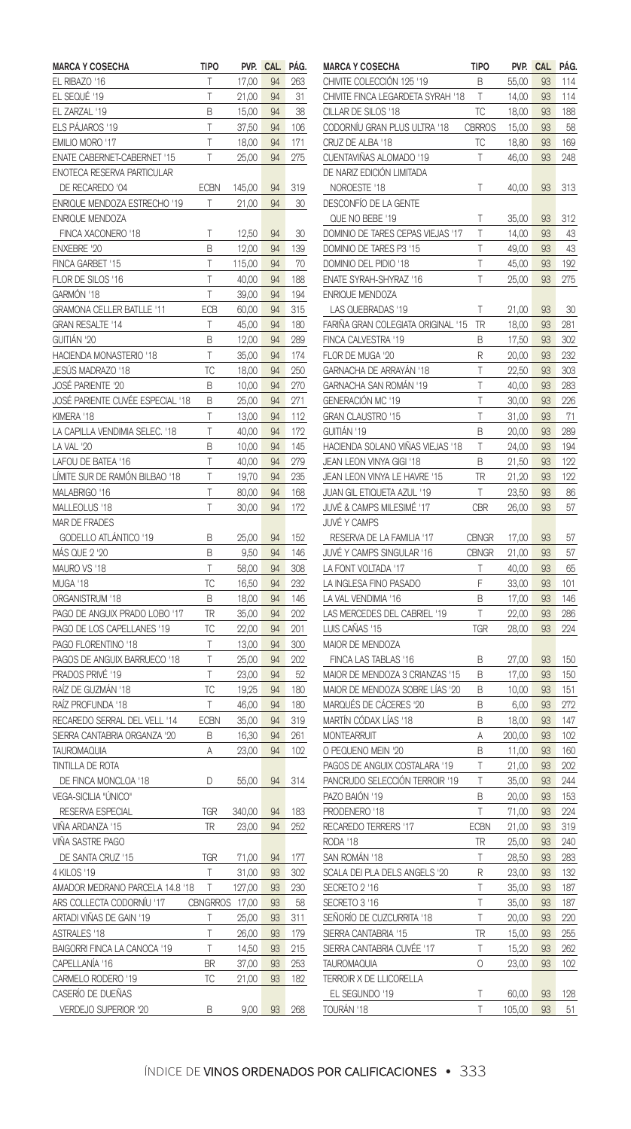| <b>MARCA Y COSECHA</b>                        | TIPO            | PVP.   | <b>CAL</b> | PAG.       |
|-----------------------------------------------|-----------------|--------|------------|------------|
| EL RIBAZO '16                                 | T               | 17,00  | 94         | 263        |
| EL SEQUÉ '19                                  | T               | 21,00  | 94         | 31         |
| ZARZAL<br>'19<br>EL                           | В               | 15,00  | 94         | 38         |
| ELS PÁJAROS '19                               | T               | 37,50  | 94         | 106        |
| EMILIO MORO '17                               | T               | 18,00  | 94         | 171        |
| ENATE CABERNET-CABERNET '15                   | T               | 25,00  | 94         | 275        |
| ENOTECA RESERVA PARTICULAR                    |                 |        |            |            |
| DE RECAREDO '04                               | ECBN            | 145,00 | 94         | 319        |
| ENRIQUE MENDOZA ESTRECHO '19                  | Т               | 21,00  | 94         | 30         |
| <b>ENRIQUE MENDOZA</b>                        |                 |        |            |            |
| FINCA XACONERO '18                            | T               | 12,50  | 94         | 30         |
| <b>ENXEBRE '20</b>                            | B               | 12,00  | 94         | 139        |
| FINCA GARBET '15                              | T               | 115,00 | 94         | 70         |
| FLOR DE SILOS '16                             | T               | 40,00  | 94         | 188        |
| GARMÓN '18                                    | T               | 39,00  | 94         | 194        |
| GRAMONA CELLER BATLLE '11                     | ECB             | 60,00  | 94         | 315        |
| GRAN RESALTE '14                              | Т               | 45,00  | 94         | 180        |
| GUITIÁN '20                                   | R               | 12,00  | 94         | 289        |
| HACIENDA MONASTERIO '18                       | T               | 35,00  | 94         | 174        |
| JESÚS MADRAZO '18                             | ТC              | 18,00  | 94         | 250        |
| JOSÉ PARIENTE '20                             | R               | 10,00  | 94         | 270        |
| JOSÉ PARIENTE CUVÉE ESPECIAL '18              | В               | 25,00  | 94         | 271        |
| KIMERA '18                                    | T               | 13,00  | 94         | 112        |
| LA CAPILLA VENDIMIA SELEC. '18                | T               | 40,00  | 94         | 172        |
| LA VAL '20                                    | B               | 10,00  | 94         | 145        |
| LAFOU DE BATEA '16                            | T               | 40,00  | 94         | 279        |
| LÍMITE SUR DE RAMÓN BILBAO '18                | T               | 19,70  | 94         | 235        |
| MALABRIGO '16                                 | T               | 80,00  | 94         | 168        |
| MALLEOLUS '18                                 | T               | 30,00  | 94         | 172        |
| MAR DE FRADES                                 |                 |        |            |            |
| GODELLO ATLÁNTICO '19                         | B               | 25,00  | 94         | 152        |
| MÁS QUE 2 '20                                 | B               | 9,50   | 94         | 146        |
| MAURO VS '18                                  | T               | 58,00  | 94         | 308        |
| MUGA '18                                      | ТC              | 16,50  | 94         | 232        |
| ORGANISTRUM '18                               | B               | 18,00  | 94         | 146        |
| PAGO DE ANGUIX PRADO LOBO '17                 | TR              | 35,00  | 94         | 202        |
| PAGO DE LOS CAPELLANES '19                    | TC              | 22,00  | 94         | 201        |
| PAGO FLORENTINO '18                           | Т               | 13,00  | 94         | 300        |
| PAGOS DE ANGUIX BARRUECO '18                  | T               | 25,00  | 94         | 202        |
| PRADOS PRIVÉ '19                              | T               | 23,00  | 94         | 52         |
| RAÍZ DE GUZMÁN '18                            | ТĊ              | 19,25  | 94         | 180        |
| RAÍZ PROFUNDA '18                             | T               | 46,00  | 94         | 180        |
| RECAREDO SERRAL DEL VELL '14                  | ECBN            | 35,00  | 94         | 319        |
|                                               |                 |        | 94         |            |
| SIERRA CANTABRIA ORGANZA '20                  | В               | 16,30  | 94         | 261<br>102 |
| <b>TAUROMAQUIA</b><br><b>TINTILLA DE ROTA</b> | Α               | 23,00  |            |            |
|                                               |                 |        |            |            |
| DE FINCA MONCLOA '18<br>VEGA-SICILIA "ÚNICO"  | D               | 55,00  | 94         | 314        |
|                                               |                 |        |            |            |
| <b>RESERVA ESPECIAL</b>                       | <b>TGR</b>      | 340,00 | 94         | 183        |
| VIÑA ARDANZA '15                              | TR              | 23,00  | 94         | 252        |
| VIÑA SASTRE PAGO                              |                 |        |            |            |
| DE SANTA CRUZ '15                             | TGR             | 71,00  | 94         | 177        |
| 4 KILOS '19                                   | Т               | 31,00  | 93         | 302        |
| AMADOR MEDRANO PARCELA 14.8 '18               | T               | 127,00 | 93         | 230        |
| ARS COLLECTA CODORNÍU '17                     | <b>CBNGRROS</b> | 17,00  | 93         | 58         |
| ARTADI VIÑAS DE GAIN '19                      | T               | 25,00  | 93         | 311        |
| ASTRALES '18                                  | T               | 26,00  | 93         | 179        |
| BAIGORRI FINCA LA CANOCA '19                  | T               | 14,50  | 93         | 215        |
| CAPELLANÍA '16                                | BR              | 37,00  | 93         | 253        |
| CARMELO RODERO '19                            | ТC              | 21,00  | 93         | 182        |
| CASERÍO DE DUEÑAS                             |                 |        |            |            |
| VERDEJO SUPERIOR '20                          | R               | 9,00   | 93         | 268        |

| <b>MARCA Y COSECHA</b>                 | TIPO          | PVP.            | <b>CAL</b> | PÁG.       |
|----------------------------------------|---------------|-----------------|------------|------------|
| CHIVITE COLECCIÓN 125 '19              | B             | 55,00           | 93         | 114        |
| CHIVITE FINCA LEGARDETA SYRAH '18      | T             | 14,00           | 93         | 114        |
| CILLAR DE SILOS '18                    | ТC            | 18,00           | 93         | 188        |
| CODORNÍU GRAN PLUS ULTRA '18           | <b>CBRROS</b> | 15,00           | 93         | 58         |
| CRUZ DE ALBA '18                       | ТC            | 18,80           | 93         | 169        |
| CUENTAVIÑAS ALOMADO '19                | Т             | 46,00           | 93         | 248        |
| DE NARIZ EDICIÓN LIMITADA              |               |                 |            |            |
| NOROESTE '18                           | Τ             | 40,00           | 93         | 313        |
| DESCONFÍO DE LA GENTE                  |               |                 |            |            |
| QUE NO BEBE '19                        | Τ             | 35,00           | 93         | 312        |
| DOMINIO DE TARES CEPAS VIEJAS '17      | T             | 14,00           | 93         | 43         |
| DOMINIO DE TARES P3 '15                | T             | 49,00           | 93         | 43         |
| DOMINIO DEL PIDIO '18                  | T             | 45,00           | 93         | 192        |
| ENATE SYRAH-SHYRAZ '16                 | Τ             | 25,00           | 93         | <u>275</u> |
| <b>ENRIQUE MENDOZA</b>                 |               |                 |            |            |
| LAS QUEBRADAS '19                      | T             | 21,00           | 93         | 30         |
| FARIÑA GRAN COLEGIATA ORIGINAL '15     | TR            | 18,00           | 93         | 281        |
| FINCA CALVESTRA '19                    | B             | 17,50           | 93         | 302        |
| FLOR DE MUGA '20                       | R             | 20,00           | 93         | 232        |
| GARNACHA DE ARRAYÁN '18                | T             |                 | 93         | 303        |
|                                        |               | 22,50           |            |            |
| GARNACHA SAN ROMÁN '19                 | T             | 40,00           | 93         | 283        |
| GENERACIÓN MC '19                      | T             | 30,00           | 93         | 226        |
| GRAN CLAUSTRO '15                      | Τ             | 31,00           | 93         | 71         |
| GUITIÁN '19                            | B             | 20,00           | 93         | 289        |
| HACIENDA SOLANO VIÑAS VIEJAS '18       | T             | 24,00           | 93         | 194        |
| JEAN LEON VINYA GIGI '18               | B             | 21,50           | 93         | 122        |
| JEAN LEON VINYA LE HAVRE '15           | TR            | 21,20           | 93         | 122        |
| JUAN GIL ETIQUETA AZUL '19             | T             | 23,50           | 93         | 86         |
| JUVÉ & CAMPS MILESIMÉ '17              | CBR           | 26,00           | 93         | 57         |
| JUVÉ Y CAMPS                           |               |                 |            |            |
| RESERVA DE LA FAMILIA '17              | <b>CBNGR</b>  | 17,00           | 93         | 57         |
| JUVÉ Y CAMPS SINGULAR '16              | <b>CBNGR</b>  | 21,00           | 93         | 57         |
| LA FONT VOLTADA '17                    | T             | 40,00           | 93         | 65         |
| LA INGLESA FINO PASADO                 | F             | 33,00           | 93         | 101        |
| LA VAL VENDIMIA '16                    | В             | 17,00           | 93         | 146        |
| LAS MERCEDES DEL CABRIEL '19           | T             | 22,00           | 93         | 286        |
| LUIS CAÑAS '15                         | TGR           | 28,00           | 93         | 224        |
| MAIOR DE MENDOZA                       |               |                 |            |            |
| FINCA LAS TABLAS '16                   | B             | 27,00           | 93         | 150        |
| MAIOR DE MENDOZA 3 CRIANZAS '15        | В             | 17,00           | 93         | 150        |
| MAIOR DE MENDOZA SOBRE LÍAS '20        | R             | 10,00           | 93         | 151        |
| MARQUÉS DE CÁCERES '20                 | B             | 6,00            | 93         | 272        |
| MARTÍN CÓDAX LÍAS '18                  | B             | 18,00           | 93         | 147        |
| <b>MONTEARRUIT</b>                     | A             | 200,00          | 93         | 102        |
| O PEQUENO MEIN '20                     | R             | 11,00           | 93         | 160        |
| PAGOS DE ANGUIX COSTALARA '19          | T             | 21,00           | 93         | 202        |
| PANCRUDO SELECCIÓN TERROIR '19         | T             | 35,00           | 93         | 244        |
| PAZO BAIÓN '19                         | В             | 20,00           | 93         | 153        |
| PRODENERO '18                          | T             | 71,00           | 93         | 224        |
| RECAREDO TERRERS '17                   | <b>ECBN</b>   | 21,00           | 93         | 319        |
| RODA '18                               | TR            | 25,00           | 93         | 240        |
| SAN ROMÁN '18                          | T             | 28,50           | 93         | 283        |
| SCALA DEI PLA DELS ANGELS '20          | R             | 23,00           | 93         | 132        |
| SECRETO 2 '16                          | T             | 35,00           | 93         | 187        |
| SECRETO 3 '16                          | T             | 35,00           | 93         | 187        |
| SEÑORÍO DE CUZCURRITA '18              | Τ             |                 | 93         | 220        |
|                                        |               | 20,00           |            |            |
| SIERRA CANTABRIA '15                   | TR<br>T       | 15,00           | 93<br>93   | 255<br>262 |
| SIERRA CANTABRIA CUVÉE '17             |               | 15,20           |            |            |
| TAUROMAQUIA<br>TERROIR X DE LLICORELLA | 0             | 23,00           | 93         | 102        |
| EL SEGUNDO '19                         |               |                 |            |            |
|                                        |               |                 |            |            |
| TOURÁN '18                             | Т<br>T        | 60,00<br>105,00 | 93<br>93   | 128<br>51  |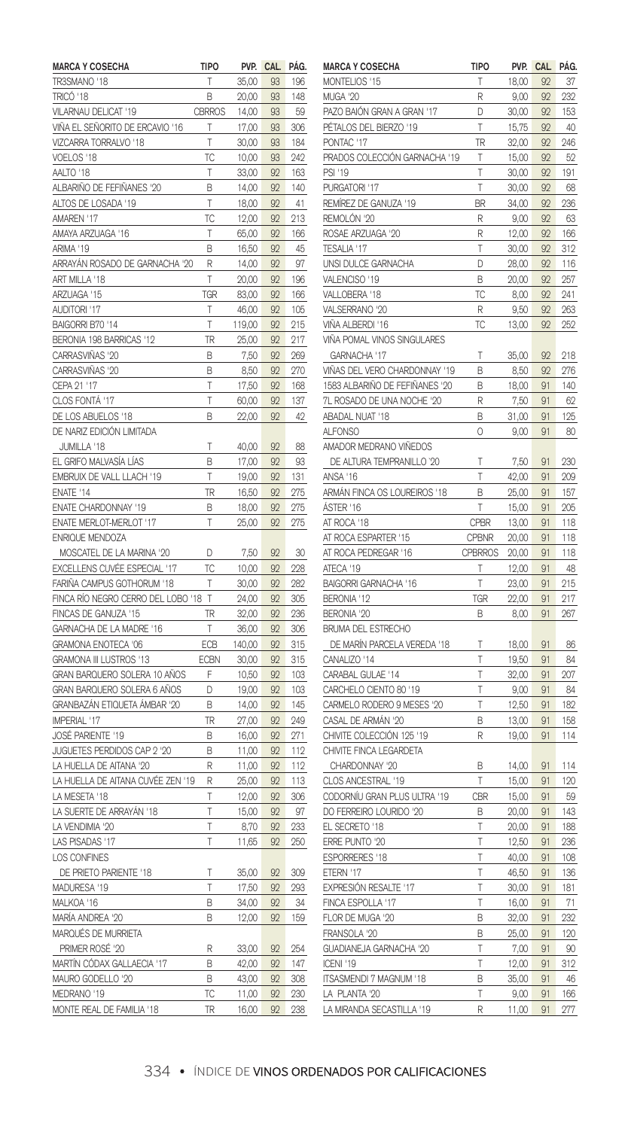| <b>MARCA Y COSECHA</b>             | tipo          | PVP.   | <b>CAL</b> | PAG. |
|------------------------------------|---------------|--------|------------|------|
| TR3SMANO '18                       | Т             | 35,00  | 93         | 196  |
| TRICÓ '18                          | В             | 20,00  | 93         | 148  |
| VILARNAU DELICAT '19               | <b>CBRROS</b> | 14,00  | 93         | 59   |
| VIÑA EL SEÑORITO DE ERCAVIO '16    | Ţ             | 17,00  | 93         | 306  |
| VIZCARRA TORRALVO '18              | T             | 30,00  | 93         | 184  |
| VOELOS '18                         | ТC            | 10,00  | 93         | 242  |
| AALTO '18                          | Т             | 33,00  | 92         | 163  |
| ALBARIÑO DE FEFIÑANES '20          | В             | 14,00  | 92         | 140  |
| ALTOS DE LOSADA '19                | T             | 18,00  | 92         | 41   |
| AMAREN '17                         | TC            | 12,00  | 92         | 213  |
| AMAYA ARZUAGA '16                  | T             | 65,00  | 92         | 166  |
| ARIMA '19                          |               |        |            | 45   |
|                                    | В             | 16,50  | 92<br>92   | 97   |
| ARRAYÁN ROSADO DE GARNACHA '20     | R             | 14,00  |            |      |
| ART MILLA '18                      | T             | 20,00  | 92         | 196  |
| ARZUAGA '15                        | TGR           | 83,00  | 92         | 166  |
| AUDITORI '17                       | T             | 46,00  | 92         | 105  |
| BAIGORRI B70 '14                   | T             | 119,00 | 92         | 215  |
| BERONIA 198 BARRICAS '12           | TR            | 25,00  | 92         | 217  |
| CARRASVIÑAS '20                    | B             | 7,50   | 92         | 269  |
| CARRASVIÑAS '20                    | B             | 8,50   | 92         | 270  |
| CEPA 21 '17                        | T             | 17,50  | 92         | 168  |
| CLOS FONTÁ '17                     | T             | 60,00  | 92         | 137  |
| DE LOS ABUELOS '18                 | В             | 22,00  | 92         | 42   |
| DE NARIZ EDICIÓN LIMITADA          |               |        |            |      |
| JUMILLA '18                        | T             | 40.00  | 92         | 88   |
| EL GRIFO MALVASÍA LÍAS             | В             | 17,00  | 92         | 93   |
| EMBRUIX DE VALL LLACH '19          | T             | 19,00  | 92         | 131  |
| FNATF '14                          | TR            | 16,50  | 92         | 275  |
| ENATE CHARDONNAY '19               | B             | 18,00  | 92         | 275  |
| ENATE MERLOT-MERLOT '17            | T             | 25,00  | 92         | 275  |
| <b>ENRIQUE MENDOZA</b>             |               |        |            |      |
| MOSCATEL DE LA MARINA '20          | D             | 7,50   | 92         | 30   |
| EXCELLENS CUVÉE ESPECIAL '17       | ТC            | 10,00  | 92         | 228  |
| FARIÑA CAMPUS GOTHORUM '18         | T             | 30,00  | 92         | 282  |
| FINCA RÍO NEGRO CERRO DEL LOBO '18 | T             | 24,00  | 92         | 305  |
| FINCAS DE GANUZA '15               | TR            | 32,00  | 92         | 236  |
| GARNACHA DE LA MADRE '16           | T             | 36,00  | 92         | 306  |
| GRAMONA ENOTECA '06                | ECB           | 140,00 | 92         | 315  |
| GRAMONA III LUSTROS '13            | ECBN          |        |            | 315  |
|                                    | F             | 30,00  | 92<br>92   | 103  |
| GRAN BARQUERO SOLERA 10 AÑOS       |               | 10,50  |            |      |
| GRAN BARQUERO SOLERA 6 AÑOS        | D             | 19,00  | 92         | 103  |
| GRANBAZÁN ETIQUETA ÁMBAR '20       | B             | 14,00  | 92         | 145  |
| IMPERIAL '17                       | TR            | 27,00  | 92         | 249  |
| JOSÉ PARIENTE '19                  | B             | 16,00  | 92         | 271  |
| JUGUETES PERDIDOS CAP 2 '20        | B             | 11,00  | 92         | 112  |
| A HUELLA DE AITANA '20             | R             | 11,00  | 92         | 112  |
| LA HUELLA DE AITANA CUVÉE ZEN '19  | R             | 25,00  | 92         | 113  |
| LA MESETA '18                      | T             | 12,00  | 92         | 306  |
| LA SUERTE DE ARRAYÁN '18           | T             | 15,00  | 92         | 97   |
| LA VENDIMIA '20                    | Т             | 8,70   | 92         | 233  |
| LAS PISADAS '17                    | T             | 11,65  | 92         | 250  |
| <b>LOS CONFINES</b>                |               |        |            |      |
| DE PRIETO PARIENTE '18             | T             | 35,00  | 92         | 309  |
| MADURESA '19                       | T             | 17,50  | 92         | 293  |
| MALKOA '16                         | В             | 34,00  | 92         | 34   |
| MARÍA ANDREA '20                   | R             | 12,00  | 92         | 159  |
| MARQUÉS DE MURRIETA                |               |        |            |      |
| PRIMER ROSÉ '20                    | R             | 33,00  | 92         | 254  |
| MARTÍN CÓDAX GALLAECIA '17         | B             | 42,00  | 92         | 147  |
| MAURO GODELLO '20                  | B             | 43,00  | 92         | 308  |
| MEDRANO '19                        | ТC            | 11,00  | 92         | 230  |
| MONTE REAL DE FAMILIA '18          | TR            | 16,00  | 92         | 238  |
|                                    |               |        |            |      |

| <b>MARCA Y COSECHA</b>         | TIPO           | PVP.  | CAL | PAG. |
|--------------------------------|----------------|-------|-----|------|
| MONTELIOS '15                  | T              | 18,00 | 92  | 37   |
| MUGA '20                       | R              | 9,00  | 92  | 232  |
| PAZO BAIÓN GRAN A GRAN '17     | D              | 30,00 | 92  | 153  |
| PÉTALOS DEL BIERZO '19         | T              | 15,75 | 92  | 40   |
| PONTAC '17                     | TR             | 32,00 | 92  | 246  |
| PRADOS COLECCIÓN GARNACHA '19  | Τ              | 15,00 | 92  | 52   |
| PSI '19                        | T              | 30,00 | 92  | 191  |
| PURGATORI '17                  | T              | 30,00 | 92  | 68   |
|                                |                |       |     |      |
| REMÍREZ DE GANUZA '19          | BR             | 34,00 | 92  | 236  |
| REMOLÓN '20                    | R              | 9,00  | 92  | 63   |
| ROSAE ARZUAGA '20              | R              | 12,00 | 92  | 166  |
| TESALIA '17                    | T              | 30,00 | 92  | 312  |
| UNSI DULCE GARNACHA            | D              | 28,00 | 92  | 116  |
| VALENCISO<br>'19               | B              | 20,00 | 92  | 257  |
| VALLOBERA '18                  | ТC             | 8,00  | 92  | 241  |
| VALSERRANO '20                 | R              | 9,50  | 92  | 263  |
| VIÑA ALBERDI '16               | ТC             | 13,00 | 92  | 252  |
| VIÑA POMAL VINOS SINGULARES    |                |       |     |      |
| GARNACHA '17                   | T              | 35,00 | 92  | 218  |
| VIÑAS DEL VERO CHARDONNAY '19  | B              | 8,50  | 92  | 276  |
| 1583 ALBARIÑO DE FEFIÑANES '20 | B              | 18,00 | 91  | 140  |
| 7L ROSADO DE UNA NOCHE '20     | R              | 7,50  | 91  | 62   |
| ABADAL NUAT '18                | В              | 31,00 | 91  | 125  |
| ALFONSO                        | 0              | 9,00  | 91  | 80   |
| AMADOR MEDRANO VIÑEDOS         |                |       |     |      |
| DE ALTURA TEMPRANILLO '20      | T              | 7,50  | 91  | 230  |
| <b>ANSA '16</b>                | T              | 42,00 | 91  | 209  |
| ARMÁN FINCA OS LOUREIROS '18   | B              |       | 91  | 157  |
|                                | Т              | 25,00 |     |      |
| ÀSTER '16                      |                | 15,00 | 91  | 205  |
| AT ROCA '18                    | <b>CPBR</b>    | 13,00 | 91  | 118  |
| AT ROCA ESPARTER '15           | <b>CPBNR</b>   | 20,00 | 91  | 118  |
| AT ROCA PEDREGAR '16           | <b>CPBRROS</b> | 20,00 | 91  | 118  |
| ATECA '19                      | Т              | 12,00 | 91  | 48   |
| BAIGORRI GARNACHA '16          | T              | 23,00 | 91  | 215  |
| BERONIA '12                    | TGR            | 22,00 | 91  | 217  |
| BERONIA '20                    | B              | 8,00  | 91  | 267  |
| <b>BRUMA DEL ESTRECHO</b>      |                |       |     |      |
| DE MARÍN PARCELA VEREDA '18    | T              | 18,00 | 91  | 86   |
| CANALIZO '14                   | T              | 19,50 | 91  | 84   |
| CARABAL GULAE '14              | T              | 32,00 | 91  | 207  |
| CARCHELO CIENTO 80 '19         | T              | 9,00  | 91  | 84   |
| CARMELO RODERO 9 MESES '20     | T              | 12,50 | 91  | 182  |
| CASAL DE ARMÁN '20             | В              | 13,00 | 91  | 158  |
| CHIVITE COLECCIÓN 125 '19      | R              | 19,00 | 91  | 114  |
| CHIVITE FINCA LEGARDETA        |                |       |     |      |
| CHARDONNAY '20                 | B              | 14,00 | 91  | 114  |
| CLOS ANCESTRAL '19             | T              | 15,00 | 91  | 120  |
| CODORNÍU GRAN PLUS ULTRA '19   | <b>CBR</b>     |       | 91  |      |
|                                |                | 15,00 |     | 59   |
| DO FERREIRO LOURIDO '20        | B              | 20,00 | 91  | 143  |
| EL SECRETO '18                 | T              | 20,00 | 91  | 188  |
| ERRE PUNTO '20                 | Τ              | 12,50 | 91  | 236  |
| ESPORRERES '18                 | Τ              | 40,00 | 91  | 108  |
| ETERN '17                      | T              | 46,50 | 91  | 136  |
| <b>EXPRESIÓN RESALTE '17</b>   | T              | 30,00 | 91  | 181  |
| FINCA ESPOLLA '17              | T              | 16,00 | 91  | 71   |
| FLOR DE MUGA '20               | B              | 32,00 | 91  | 232  |
| FRANSOLA '20                   | B              | 25,00 | 91  | 120  |
| GUADIANEJA GARNACHA '20        | Т              | 7,00  | 91  | 90   |
| ICENI '19                      | Τ              | 12,00 | 91  | 312  |
| ITSASMENDI 7 MAGNUM '18        | В              | 35,00 | 91  | 46   |
| LA PLANTA '20                  | T              |       | 91  | 166  |
|                                |                | 9,00  |     |      |
| LA MIRANDA SECASTILLA '19      | R              | 11,00 | 91  | 277  |

## 334 • ÍNDICE DE VINOS ORDENADOS POR CALIFICACIONES